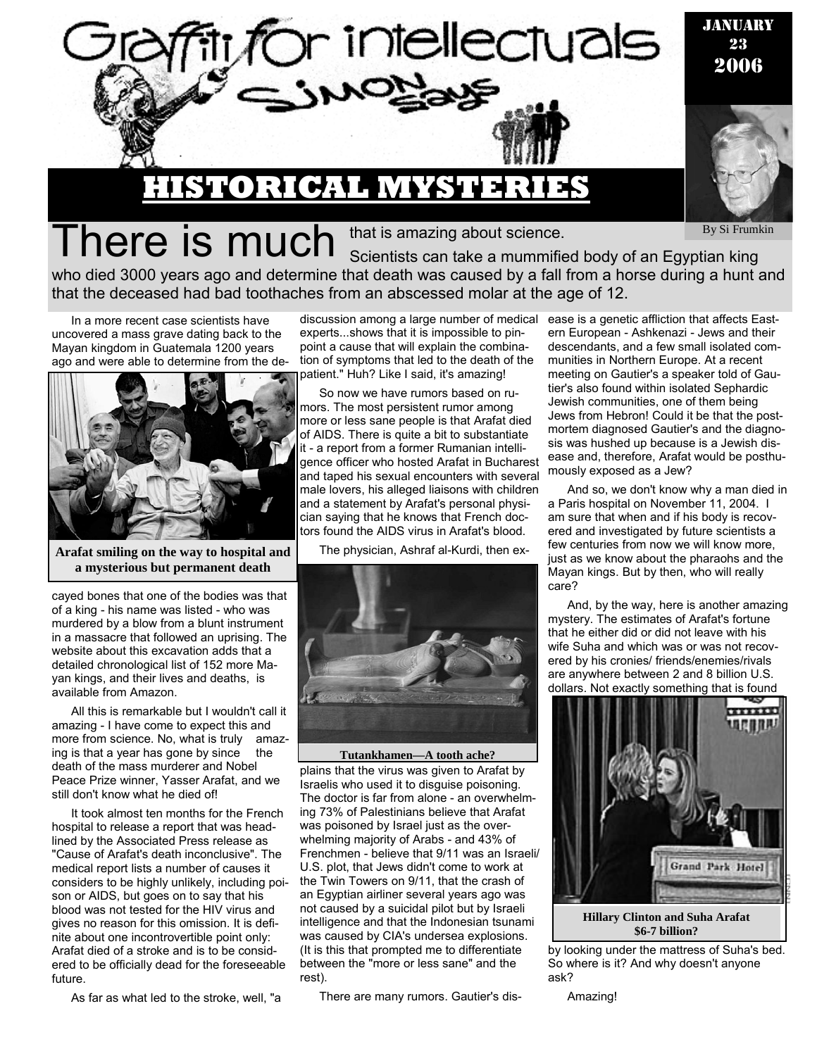

By Si Frumkin

There is much Scientists can take a mummified body of an Egyptian king who died 3000 years ago and determine that death was caused by a fall from a horse during a hunt and that the deceased had bad toothaches from an abscessed molar at the age of 12.

that is amazing about science.

In a more recent case scientists have uncovered a mass grave dating back to the Mayan kingdom in Guatemala 1200 years ago and were able to determine from the de-



**Arafat smiling on the way to hospital and a mysterious but permanent death** 

cayed bones that one of the bodies was that of a king - his name was listed - who was murdered by a blow from a blunt instrument in a massacre that followed an uprising. The website about this excavation adds that a detailed chronological list of 152 more Mayan kings, and their lives and deaths, is available from Amazon.

All this is remarkable but I wouldn't call it amazing - I have come to expect this and more from science. No, what is truly amazing is that a year has gone by since the death of the mass murderer and Nobel Peace Prize winner, Yasser Arafat, and we still don't know what he died of!

It took almost ten months for the French hospital to release a report that was headlined by the Associated Press release as "Cause of Arafat's death inconclusive". The medical report lists a number of causes it considers to be highly unlikely, including poison or AIDS, but goes on to say that his blood was not tested for the HIV virus and gives no reason for this omission. It is definite about one incontrovertible point only: Arafat died of a stroke and is to be considered to be officially dead for the foreseeable future.

As far as what led to the stroke, well, "a

discussion among a large number of medical ease is a genetic affliction that affects Eastexperts...shows that it is impossible to pinpoint a cause that will explain the combination of symptoms that led to the death of the patient." Huh? Like I said, it's amazing!

So now we have rumors based on rumors. The most persistent rumor among more or less sane people is that Arafat died of AIDS. There is quite a bit to substantiate it - a report from a former Rumanian intelligence officer who hosted Arafat in Bucharest and taped his sexual encounters with several male lovers, his alleged liaisons with children and a statement by Arafat's personal physician saying that he knows that French doctors found the AIDS virus in Arafat's blood.

The physician, Ashraf al-Kurdi, then ex-



plains that the virus was given to Arafat by Israelis who used it to disguise poisoning. The doctor is far from alone - an overwhelming 73% of Palestinians believe that Arafat was poisoned by Israel just as the overwhelming majority of Arabs - and 43% of Frenchmen - believe that 9/11 was an Israeli/ U.S. plot, that Jews didn't come to work at the Twin Towers on 9/11, that the crash of an Egyptian airliner several years ago was not caused by a suicidal pilot but by Israeli intelligence and that the Indonesian tsunami was caused by CIA's undersea explosions. (It is this that prompted me to differentiate between the "more or less sane" and the rest).

There are many rumors. Gautier's dis-

ern European - Ashkenazi - Jews and their descendants, and a few small isolated communities in Northern Europe. At a recent meeting on Gautier's a speaker told of Gautier's also found within isolated Sephardic Jewish communities, one of them being Jews from Hebron! Could it be that the postmortem diagnosed Gautier's and the diagnosis was hushed up because is a Jewish disease and, therefore, Arafat would be posthumously exposed as a Jew?

And so, we don't know why a man died in a Paris hospital on November 11, 2004. I am sure that when and if his body is recovered and investigated by future scientists a few centuries from now we will know more, just as we know about the pharaohs and the Mayan kings. But by then, who will really care?

And, by the way, here is another amazing mystery. The estimates of Arafat's fortune that he either did or did not leave with his wife Suha and which was or was not recovered by his cronies/ friends/enemies/rivals are anywhere between 2 and 8 billion U.S. dollars. Not exactly something that is found



**\$6-7 billion?** 

by looking under the mattress of Suha's bed. So where is it? And why doesn't anyone ask?

Amazing!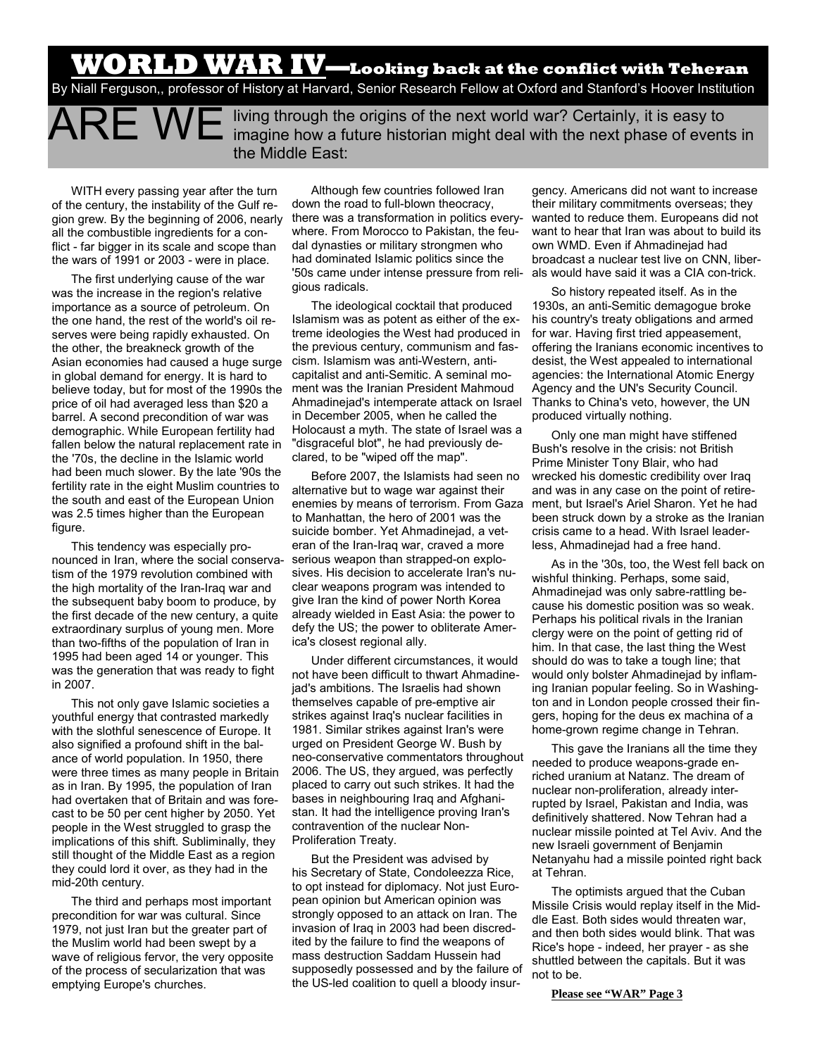### **WORLD WAR IV—Looking back at the conflict with Teheran**

By Niall Ferguson,, professor of History at Harvard, Senior Research Fellow at Oxford and Stanford's Hoover Institution

ARE WE living through the origins of the next world war? Certainly, it is easy to imagine how a future historian might deal with the next phase of events in the Middle East:

WITH every passing year after the turn of the century, the instability of the Gulf region grew. By the beginning of 2006, nearly all the combustible ingredients for a conflict - far bigger in its scale and scope than the wars of 1991 or 2003 - were in place.

The first underlying cause of the war was the increase in the region's relative importance as a source of petroleum. On the one hand, the rest of the world's oil reserves were being rapidly exhausted. On the other, the breakneck growth of the Asian economies had caused a huge surge in global demand for energy. It is hard to believe today, but for most of the 1990s the price of oil had averaged less than \$20 a barrel. A second precondition of war was demographic. While European fertility had fallen below the natural replacement rate in the '70s, the decline in the Islamic world had been much slower. By the late '90s the fertility rate in the eight Muslim countries to the south and east of the European Union was 2.5 times higher than the European figure.

This tendency was especially pronounced in Iran, where the social conservatism of the 1979 revolution combined with the high mortality of the Iran-Iraq war and the subsequent baby boom to produce, by the first decade of the new century, a quite extraordinary surplus of young men. More than two-fifths of the population of Iran in 1995 had been aged 14 or younger. This was the generation that was ready to fight in 2007.

This not only gave Islamic societies a youthful energy that contrasted markedly with the slothful senescence of Europe. It also signified a profound shift in the balance of world population. In 1950, there were three times as many people in Britain as in Iran. By 1995, the population of Iran had overtaken that of Britain and was forecast to be 50 per cent higher by 2050. Yet people in the West struggled to grasp the implications of this shift. Subliminally, they still thought of the Middle East as a region they could lord it over, as they had in the mid-20th century.

The third and perhaps most important precondition for war was cultural. Since 1979, not just Iran but the greater part of the Muslim world had been swept by a wave of religious fervor, the very opposite of the process of secularization that was emptying Europe's churches.

Although few countries followed Iran down the road to full-blown theocracy, there was a transformation in politics everywhere. From Morocco to Pakistan, the feudal dynasties or military strongmen who had dominated Islamic politics since the '50s came under intense pressure from religious radicals.

The ideological cocktail that produced Islamism was as potent as either of the extreme ideologies the West had produced in the previous century, communism and fascism. Islamism was anti-Western, anticapitalist and anti-Semitic. A seminal moment was the Iranian President Mahmoud Ahmadinejad's intemperate attack on Israel in December 2005, when he called the Holocaust a myth. The state of Israel was a "disgraceful blot", he had previously declared, to be "wiped off the map".

Before 2007, the Islamists had seen no alternative but to wage war against their enemies by means of terrorism. From Gaza to Manhattan, the hero of 2001 was the suicide bomber. Yet Ahmadinejad, a veteran of the Iran-Iraq war, craved a more serious weapon than strapped-on explosives. His decision to accelerate Iran's nuclear weapons program was intended to give Iran the kind of power North Korea already wielded in East Asia: the power to defy the US; the power to obliterate America's closest regional ally.

Under different circumstances, it would not have been difficult to thwart Ahmadinejad's ambitions. The Israelis had shown themselves capable of pre-emptive air strikes against Iraq's nuclear facilities in 1981. Similar strikes against Iran's were urged on President George W. Bush by neo-conservative commentators throughout 2006. The US, they argued, was perfectly placed to carry out such strikes. It had the bases in neighbouring Iraq and Afghanistan. It had the intelligence proving Iran's contravention of the nuclear Non-Proliferation Treaty.

But the President was advised by his Secretary of State, Condoleezza Rice, to opt instead for diplomacy. Not just European opinion but American opinion was strongly opposed to an attack on Iran. The invasion of Iraq in 2003 had been discredited by the failure to find the weapons of mass destruction Saddam Hussein had supposedly possessed and by the failure of the US-led coalition to quell a bloody insur-

gency. Americans did not want to increase their military commitments overseas; they wanted to reduce them. Europeans did not want to hear that Iran was about to build its own WMD. Even if Ahmadinejad had broadcast a nuclear test live on CNN, liberals would have said it was a CIA con-trick.

So history repeated itself. As in the 1930s, an anti-Semitic demagogue broke his country's treaty obligations and armed for war. Having first tried appeasement, offering the Iranians economic incentives to desist, the West appealed to international agencies: the International Atomic Energy Agency and the UN's Security Council. Thanks to China's veto, however, the UN produced virtually nothing.

Only one man might have stiffened Bush's resolve in the crisis: not British Prime Minister Tony Blair, who had wrecked his domestic credibility over Iraq and was in any case on the point of retirement, but Israel's Ariel Sharon. Yet he had been struck down by a stroke as the Iranian crisis came to a head. With Israel leaderless, Ahmadinejad had a free hand.

As in the '30s, too, the West fell back on wishful thinking. Perhaps, some said, Ahmadinejad was only sabre-rattling because his domestic position was so weak. Perhaps his political rivals in the Iranian clergy were on the point of getting rid of him. In that case, the last thing the West should do was to take a tough line; that would only bolster Ahmadinejad by inflaming Iranian popular feeling. So in Washington and in London people crossed their fingers, hoping for the deus ex machina of a home-grown regime change in Tehran.

This gave the Iranians all the time they needed to produce weapons-grade enriched uranium at Natanz. The dream of nuclear non-proliferation, already interrupted by Israel, Pakistan and India, was definitively shattered. Now Tehran had a nuclear missile pointed at Tel Aviv. And the new Israeli government of Benjamin Netanyahu had a missile pointed right back at Tehran.

The optimists argued that the Cuban Missile Crisis would replay itself in the Middle East. Both sides would threaten war, and then both sides would blink. That was Rice's hope - indeed, her prayer - as she shuttled between the capitals. But it was not to be.

**Please see "WAR" Page 3**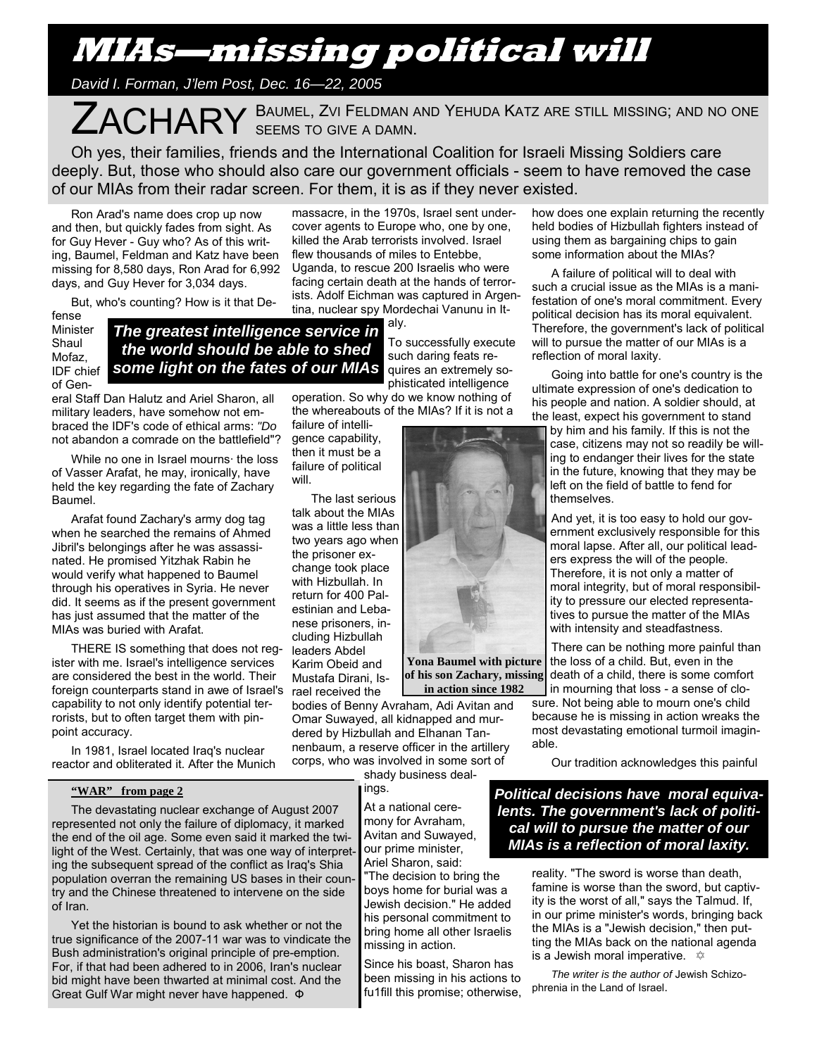## **MIAs—missing political will**

*David I. Forman, J'lem Post, Dec. 16—22, 2005* 

ZACHARY BAUMEL, ZVI FELDMAN AND YEHUDA KATZ ARE STILL MISSING; AND NO ONE SEEMS TO GIVE A DAMN. SEEMS TO GIVE A DAMN.

Oh yes, their families, friends and the International Coalition for Israeli Missing Soldiers care deeply. But, those who should also care our government officials - seem to have removed the case of our MIAs from their radar screen. For them, it is as if they never existed.

Ron Arad's name does crop up now and then, but quickly fades from sight. As for Guy Hever - Guy who? As of this writing, Baumel, Feldman and Katz have been missing for 8,580 days, Ron Arad for 6,992 days, and Guy Hever for 3,034 days.

But, who's counting? How is it that De-

fense Minister Shaul Mofaz, IDF chief of Gen-

*The greatest intelligence service in the world should be able to shed some light on the fates of our MIAs* 

eral Staff Dan Halutz and Ariel Sharon, all military leaders, have somehow not embraced the IDF's code of ethical arms: *"Do*  not abandon a comrade on the battlefield"?

While no one in Israel mourns· the loss of Vasser Arafat, he may, ironically, have held the key regarding the fate of Zachary Baumel.

Arafat found Zachary's army dog tag when he searched the remains of Ahmed Jibril's belongings after he was assassinated. He promised Yitzhak Rabin he would verify what happened to Baumel through his operatives in Syria. He never did. It seems as if the present government has just assumed that the matter of the MIAs was buried with Arafat.

THERE IS something that does not register with me. Israel's intelligence services are considered the best in the world. Their foreign counterparts stand in awe of Israel's capability to not only identify potential terrorists, but to often target them with pinpoint accuracy.

In 1981, Israel located Iraq's nuclear reactor and obliterated it. After the Munich

### **"WAR" from page 2**

The devastating nuclear exchange of August 2007 represented not only the failure of diplomacy, it marked the end of the oil age. Some even said it marked the twilight of the West. Certainly, that was one way of interpreting the subsequent spread of the conflict as Iraq's Shia population overran the remaining US bases in their country and the Chinese threatened to intervene on the side of Iran.

Yet the historian is bound to ask whether or not the true significance of the 2007-11 war was to vindicate the Bush administration's original principle of pre-emption. For, if that had been adhered to in 2006, Iran's nuclear bid might have been thwarted at minimal cost. And the Great Gulf War might never have happened. Ф

massacre, in the 1970s, Israel sent undercover agents to Europe who, one by one, killed the Arab terrorists involved. Israel flew thousands of miles to Entebbe, Uganda, to rescue 200 Israelis who were facing certain death at the hands of terrorists. Adolf Eichman was captured in Argentina, nuclear spy Mordechai Vanunu in It-

> aly. To successfully execute such daring feats requires an extremely sophisticated intelligence

operation. So why do we know nothing of the whereabouts of the MIAs? If it is not a

failure of intelligence capability, then it must be a failure of political will.

The last serious talk about the MIAs was a little less than two years ago when the prisoner exchange took place with Hizbullah. In return for 400 Palestinian and Lebanese prisoners, including Hizbullah leaders Abdel Karim Obeid and Mustafa Dirani, Israel received the

bodies of Benny Avraham, Adi Avitan and Omar Suwayed, all kidnapped and murdered by Hizbullah and Elhanan Tannenbaum, a reserve officer in the artillery corps, who was involved in some sort of

shady business dealings.

> At a national ceremony for Avraham, Avitan and Suwayed, our prime minister, Ariel Sharon, said:

"The decision to bring the boys home for burial was a Jewish decision." He added his personal commitment to bring home all other Israelis missing in action.

Since his boast, Sharon has been missing in his actions to fu1fill this promise; otherwise, how does one explain returning the recently held bodies of Hizbullah fighters instead of using them as bargaining chips to gain some information about the MIAs?

A failure of political will to deal with such a crucial issue as the MIAs is a manifestation of one's moral commitment. Every political decision has its moral equivalent. Therefore, the government's lack of political will to pursue the matter of our MIAs is a reflection of moral laxity.

Going into battle for one's country is the ultimate expression of one's dedication to his people and nation. A soldier should, at the least, expect his government to stand

by him and his family. If this is not the case, citizens may not so readily be willing to endanger their lives for the state in the future, knowing that they may be left on the field of battle to fend for themselves.

And yet, it is too easy to hold our government exclusively responsible for this moral lapse. After all, our political leaders express the will of the people. Therefore, it is not only a matter of moral integrity, but of moral responsibility to pressure our elected representatives to pursue the matter of the MIAs with intensity and steadfastness.

There can be nothing more painful than the loss of a child. But, even in the death of a child, there is some comfort

in mourning that loss - a sense of closure. Not being able to mourn one's child because he is missing in action wreaks the most devastating emotional turmoil imaginable.

Our tradition acknowledges this painful

*Political decisions have moral equivalents. The government's lack of political will to pursue the matter of our MIAs is a reflection of moral laxity.* 

> reality. "The sword is worse than death, famine is worse than the sword, but captivity is the worst of all," says the Talmud. If, in our prime minister's words, bringing back the MIAs is a "Jewish decision," then putting the MIAs back on the national agenda is a Jewish moral imperative.  $\oint$

*The writer is the author of* Jewish Schizophrenia in the Land of Israel.



**Yona Baumel with picture of his son Zachary, missing in action since 1982**